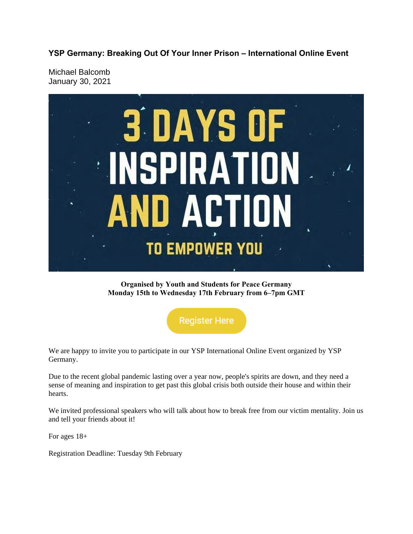**YSP Germany: Breaking Out Of Your Inner Prison – International Online Event**

Michael Balcomb January 30, 2021



**Organised by Youth and Students for Peace Germany Monday 15th to Wednesday 17th February from 6–7pm GMT**

**Register Here** 

We are happy to invite you to participate in our YSP International Online Event organized by YSP Germany.

Due to the recent global pandemic lasting over a year now, people's spirits are down, and they need a sense of meaning and inspiration to get past this global crisis both outside their house and within their hearts.

We invited professional speakers who will talk about how to break free from our victim mentality. Join us and tell your friends about it!

For ages 18+

Registration Deadline: Tuesday 9th February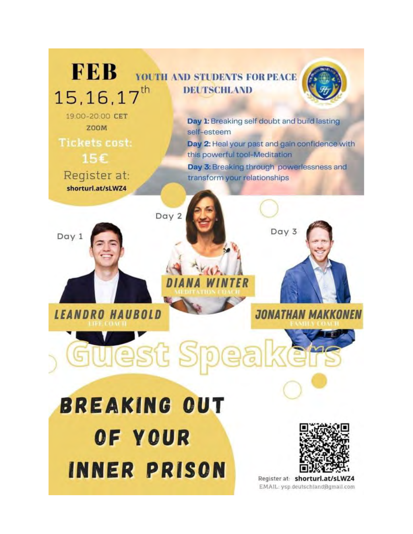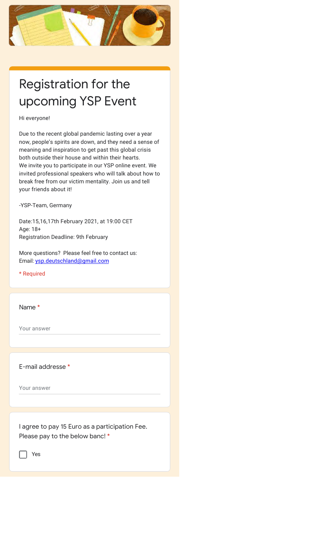

## Registration for the upcoming YSP Event

## Hi everyone!

Due to the recent global pandemic lasting over a year now, people's spirits are down, and they need a sense of meaning and inspiration to get past this global crisis both outside their house and within their hearts. We invite you to participate in our YSP online event. We invited professional speakers who will talk about how to break free from our victim mentality. Join us and tell your friends about it!

-YSP-Team, Germany

Date:15,16,17th February 2021, at 19:00 CET Age: 18+ Registration Deadline: 9th February

More questions? Please feel free to contact us: Email: ysp.deutschland@gmail.com

\* Required

Name \*

Your answer

E-mail addresse \*

Your answer

I agree to pay 15 Euro as a participation Fee. Please pay to the below banc! \*

Yes